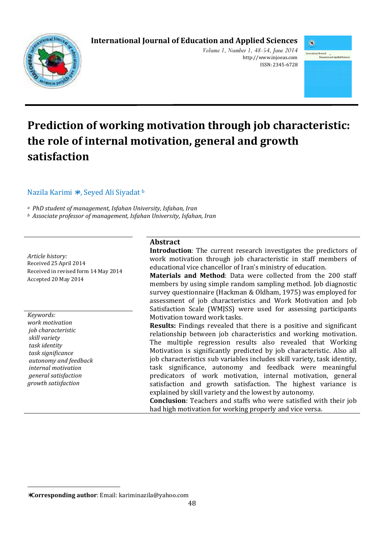# **International Journal of Education and Applied Sciences**



*Volume 1, Number 1, 48-54, June 2014*  http://www.injoeas.com ISSN: 2345-6728



# **Prediction of working motivation through job characteristic: the role of internal motivation, general and growth satisfaction**

## Nazila Karimi <sup>∗a</sup>, Seyed Ali Siyadat b

*<sup>a</sup> PhD student of management, Isfahan University, Isfahan, Iran* 

*<sup>b</sup> Associate professor of management, Isfahan University, Isfahan, Iran* 

*Article history:*  Received 25 April 2014 Received in revised form 14 May 2014 Accepted 20 May 2014

*Keywords: work motivation job characteristic skill variety task identity task significance autonomy and feedback internal motivation general satisfaction growth satisfaction* 

l

## **Abstract**

**Introduction**: The current research investigates the predictors of work motivation through job characteristic in staff members of educational vice chancellor of Iran's ministry of education.

**Materials and Method**: Data were collected from the 200 staff members by using simple random sampling method. Job diagnostic survey questionnaire (Hackman & Oldham, 1975) was employed for assessment of job characteristics and Work Motivation and Job Satisfaction Scale (WMJSS) were used for assessing participants Motivation toward work tasks.

**Results:** Findings revealed that there is a positive and significant relationship between job characteristics and working motivation. The multiple regression results also revealed that Working Motivation is significantly predicted by job characteristic. Also all job characteristics sub variables includes skill variety, task identity, task significance, autonomy and feedback were meaningful predicators of work motivation, internal motivation, general satisfaction and growth satisfaction. The highest variance is explained by skill variety and the lowest by autonomy.

**Conclusion**: Teachers and staffs who were satisfied with their job had high motivation for working properly and vice versa.

<sup>∗</sup>**Corresponding author**: Email: kariminazila@yahoo.com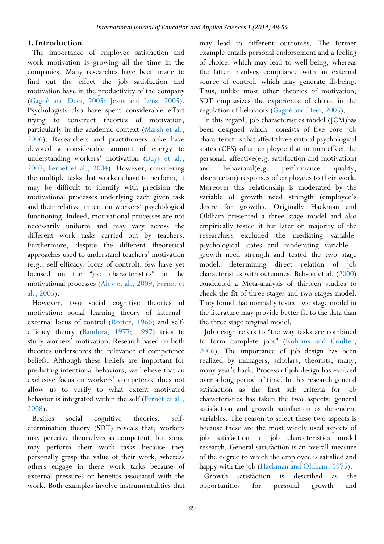### **1. Introduction**

The importance of employee satisfaction and work motivation is growing all the time in the companies. Many researches have been made to find out the effect the job satisfaction and motivation have in the productivity of the company (Gagné and Deci, 2005; Jesus and Lens, 2005). Psychologists also have spent considerable effort trying to construct theories of motivation, particularly in the academic context (Marsh et al., 2006). Researchers and practitioners alike have devoted a considerable amount of energy to understanding workers' motivation (Buys et al., 2007; Fernet et al., 2004). However, considering the multiple tasks that workers have to perform, it may be difficult to identify with precision the motivational processes underlying each given task and their relative impact on workers' psychological functioning. Indeed, motivational processes are not necessarily uniform and may vary across the different work tasks carried out by teachers. Furthermore, despite the different theoretical approaches used to understand teachers' motivation (e.g., self-efficacy, locus of control), few have yet focused on the "job characteristics" in the motivational processes (Alev et al., 2009, Fernet et al., 2005).

However, two social cognitive theories of motivation: social learning theory of internal– external locus of control (Rotter, 1966) and selfefficacy theory (Bandura, 1977; 1997) tries to study workers' motivation. Research based on both theories underscores the relevance of competence beliefs. Although these beliefs are important for predicting intentional behaviors, we believe that an exclusive focus on workers' competence does not allow us to verify to what extent motivated behavior is integrated within the self (Fernet et al., 2008).

Besides social cognitive theories, selfetermination theory (SDT) reveals that, workers may perceive themselves as competent, but some may perform their work tasks because they personally grasp the value of their work, whereas others engage in these work tasks because of external pressures or benefits associated with the work. Both examples involve instrumentalities that

may lead to different outcomes. The former example entails personal endorsement and a feeling of choice, which may lead to well-being, whereas the latter involves compliance with an external source of control, which may generate ill-being. Thus, unlike most other theories of motivation, SDT emphasizes the experience of choice in the regulation of behaviors (Gagné and Deci, 2005).

In this regard, job characteristics model (JCM)has been designed which consists of five core job characteristics that affect three critical psychological states (CPS) of an employee that in turn affect the personal, affective(e.g. satisfaction and motivation) and behavioral(e.g. performance quality, absenteeism) responses of employees to their work. Moreover this relationship is moderated by the variable of growth need strength (employee's desire for growth). Originally Hackman and Oldham presented a three stage model and also empirically tested it but later on majority of the researchers excluded the mediating variablepsychological states and moderating variable growth need strength and tested the two stage model, determining direct relation of job characteristics with outcomes. Behson et al. (2000) conducted a Meta-analysis of thirteen studies to check the fit of three stages and two stages model. They found that normally tested two stage model in the literature may provide better fit to the data than the three stage original model.

Job design refers to "the way tasks are combined to form complete jobs" (Robbins and Coulter, 2006). The importance of job design has been realized by managers, scholars, theorists, many, many year's back. Process of job design has evolved over a long period of time. In this research general satisfaction as the first sub criteria for job characteristics has taken the two aspects: general satisfaction and growth satisfaction as dependent variables. The reason to select these two aspects is because these are the most widely used aspects of job satisfaction in job characteristics model research. General satisfaction is an overall measure of the degree to which the employee is satisfied and happy with the job (Hackman and Oldham, 1975).

Growth satisfaction is described as the opportunities for personal growth and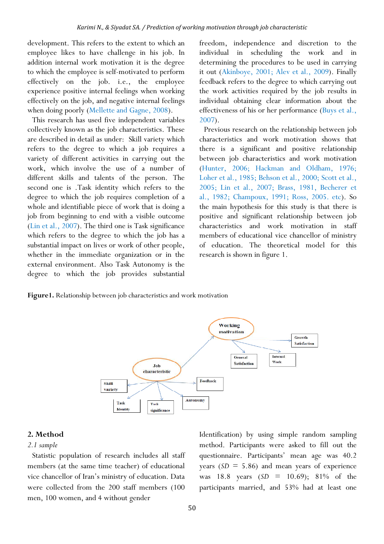development. This refers to the extent to which an employee likes to have challenge in his job. In addition internal work motivation it is the degree to which the employee is self-motivated to perform effectively on the job. i.e., the employee experience positive internal feelings when working effectively on the job, and negative internal feelings when doing poorly (Mellette and Gagne, 2008).

This research has used five independent variables collectively known as the job characteristics. These are described in detail as under: Skill variety which refers to the degree to which a job requires a variety of different activities in carrying out the work, which involve the use of a number of different skills and talents of the person. The second one is .Task identity which refers to the degree to which the job requires completion of a whole and identifiable piece of work that is doing a job from beginning to end with a visible outcome (Lin et al., 2007). The third one is Task significance which refers to the degree to which the job has a substantial impact on lives or work of other people, whether in the immediate organization or in the external environment. Also Task Autonomy is the degree to which the job provides substantial

freedom, independence and discretion to the individual in scheduling the work and in determining the procedures to be used in carrying it out (Akinboye, 2001; Alev et al., 2009). Finally feedback refers to the degree to which carrying out the work activities required by the job results in individual obtaining clear information about the effectiveness of his or her performance (Buys et al., 2007).

Previous research on the relationship between job characteristics and work motivation shows that there is a significant and positive relationship between job characteristics and work motivation (Hunter, 2006; Hackman and Oldham, 1976; Loher et al., 1985; Behson et al., 2000; Scott et al., 2005; Lin et al., 2007; Brass, 1981, Becherer et al., 1982; Champoux, 1991; Ross, 2005. etc). So the main hypothesis for this study is that there is positive and significant relationship between job characteristics and work motivation in staff members of educational vice chancellor of ministry of education. The theoretical model for this research is shown in figure 1.

**Figure1.** Relationship between job characteristics and work motivation



#### **2. Method**

#### *2.1 sample*

Statistic population of research includes all staff members (at the same time teacher) of educational vice chancellor of Iran's ministry of education. Data were collected from the 200 staff members (100 men, 100 women, and 4 without gender

Identification) by using simple random sampling method. Participants were asked to fill out the questionnaire. Participants' mean age was 40.2 years  $(SD = 5.86)$  and mean years of experience was 18.8 years (*SD* = 10.69); 81% of the participants married, and 53% had at least one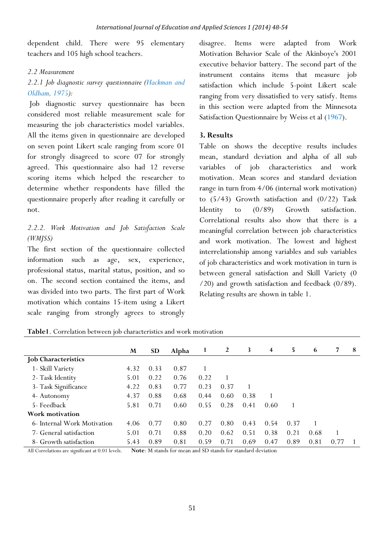dependent child. There were 95 elementary teachers and 105 high school teachers.

## *2.2 Measurement*

# *2.2.1 Job diagnostic survey questionnaire (Hackman and Oldham, 1975):*

 Job diagnostic survey questionnaire has been considered most reliable measurement scale for measuring the job characteristics model variables. All the items given in questionnaire are developed on seven point Likert scale ranging from score 01 for strongly disagreed to score 07 for strongly agreed. This questionnaire also had 12 reverse scoring items which helped the researcher to determine whether respondents have filled the questionnaire properly after reading it carefully or not.

# *2.2.2. Work Motivation and Job Satisfaction Scale (WMJSS)*

The first section of the questionnaire collected information such as age, sex, experience, professional status, marital status, position, and so on. The second section contained the items, and was divided into two parts. The first part of Work motivation which contains 15-item using a Likert scale ranging from strongly agrees to strongly disagree. Items were adapted from Work Motivation Behavior Scale of the Akinboye's 2001 executive behavior battery. The second part of the instrument contains items that measure job satisfaction which include 5-point Likert scale ranging from very dissatisfied to very satisfy. Items in this section were adapted from the Minnesota Satisfaction Questionnaire by Weiss et al (1967).

## **3. Results**

Table on shows the deceptive results includes mean, standard deviation and alpha of all sub variables of job characteristics and work motivation. Mean scores and standard deviation range in turn from 4/06 (internal work motivation) to (5/43) Growth satisfaction and (0/22) Task Identity to (0/89) Growth satisfaction. Correlational results also show that there is a meaningful correlation between job characteristics and work motivation. The lowest and highest interrelationship among variables and sub variables of job characteristics and work motivation in turn is between general satisfaction and Skill Variety (0 /20) and growth satisfaction and feedback (0/89). Relating results are shown in table 1.

|                             | M    | <b>SD</b> | Alpha | 1    | 2    | 3    | $\overline{\mathbf{4}}$ | 5.   | 6    | 7    | 8 |
|-----------------------------|------|-----------|-------|------|------|------|-------------------------|------|------|------|---|
| <b>Job Characteristics</b>  |      |           |       |      |      |      |                         |      |      |      |   |
| 1 - Skill Variety           | 4.32 | 0.33      | 0.87  |      |      |      |                         |      |      |      |   |
| 2- Task Identity            | 5.01 | 0.22      | 0.76  | 0.22 |      |      |                         |      |      |      |   |
| 3- Task Significance        | 4.22 | 0.83      | 0.77  | 0.23 | 0.37 |      |                         |      |      |      |   |
| 4- Autonomy                 | 4.37 | 0.88      | 0.68  | 0.44 | 0.60 | 0.38 |                         |      |      |      |   |
| 5- Feedback                 | 5.81 | 0.71      | 0.60  | 0.55 | 0.28 | 0.41 | 0.60                    |      |      |      |   |
| Work motivation             |      |           |       |      |      |      |                         |      |      |      |   |
| 6- Internal Work Motivation | 4.06 | 0.77      | 0.80  | 0.27 | 0.80 | 0.43 | 0.54                    | 0.37 |      |      |   |
| 7- General satisfaction     | 5.01 | 0.71      | 0.88  | 0.20 | 0.62 | 0.51 | 0.38                    | 0.21 | 0.68 |      |   |
| 8- Growth satisfaction      | 5.43 | 0.89      | 0.81  | 0.59 | 0.71 | 0.69 | 0.47                    | 0.89 | 0.81 | 0.77 |   |

**Table1**. Correlation between job characteristics and work motivation

All Correlations are significant at 0.01 levels. **Note:** M stands for mean and SD stands for standard deviation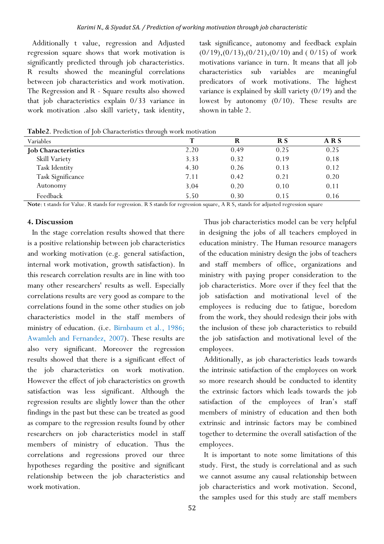Additionally t value, regression and Adjusted regression square shows that work motivation is significantly predicted through job characteristics. R results showed the meaningful correlations between job characteristics and work motivation. The Regression and R - Square results also showed that job characteristics explain 0/33 variance in work motivation .also skill variety, task identity,

task significance, autonomy and feedback explain  $(0/19)$ , $(0/13)$ , $(0/21)$ , $(0/10)$  and (  $0/15$ ) of work motivations variance in turn. It means that all job characteristics sub variables are meaningful predicators of work motivations. The highest variance is explained by skill variety (0/19) and the lowest by autonomy (0/10). These results are shown in table 2.

| <b>Variables</b>           | т    |      | R S  | ARS  |
|----------------------------|------|------|------|------|
| <b>Job Characteristics</b> | 2.20 | 0.49 | 0.25 | 0.25 |
| Skill Variety              | 3.33 | 0.32 | 0.19 | 0.18 |
| Task Identity              | 4.30 | 0.26 | 0.13 | 0.12 |
| Task Significance          | 7.11 | 0.42 | 0.21 | 0.20 |
| Autonomy                   | 3.04 | 0.20 | 0.10 | 0.11 |
| Feedback                   | 5.50 | 0.30 | 0.15 | 0.16 |

**Table2**. Prediction of Job Characteristics through work motivation

**Note**: t stands for Value. R stands for regression. R S stands for regression square, A R S, stands for adjusted regression square

#### **4. Discussion**

In the stage correlation results showed that there is a positive relationship between job characteristics and working motivation (e.g. general satisfaction, internal work motivation, growth satisfaction). In this research correlation results are in line with too many other researchers' results as well. Especially correlations results are very good as compare to the correlations found in the some other studies on job characteristics model in the staff members of ministry of education. (i.e. Birnbaum et al., 1986; Awamleh and Fernandez, 2007). These results are also very significant. Moreover the regression results showed that there is a significant effect of the job characteristics on work motivation. However the effect of job characteristics on growth satisfaction was less significant. Although the regression results are slightly lower than the other findings in the past but these can be treated as good as compare to the regression results found by other researchers on job characteristics model in staff members of ministry of education. Thus the correlations and regressions proved our three hypotheses regarding the positive and significant relationship between the job characteristics and work motivation.

Thus job characteristics model can be very helpful in designing the jobs of all teachers employed in education ministry. The Human resource managers of the education ministry design the jobs of teachers and staff members of office, organizations and ministry with paying proper consideration to the job characteristics. More over if they feel that the job satisfaction and motivational level of the employees is reducing due to fatigue, boredom from the work, they should redesign their jobs with the inclusion of these job characteristics to rebuild the job satisfaction and motivational level of the employees.

Additionally, as job characteristics leads towards the intrinsic satisfaction of the employees on work so more research should be conducted to identity the extrinsic factors which leads towards the job satisfaction of the employees of Iran's staff members of ministry of education and then both extrinsic and intrinsic factors may be combined together to determine the overall satisfaction of the employees.

It is important to note some limitations of this study. First, the study is correlational and as such we cannot assume any causal relationship between job characteristics and work motivation. Second, the samples used for this study are staff members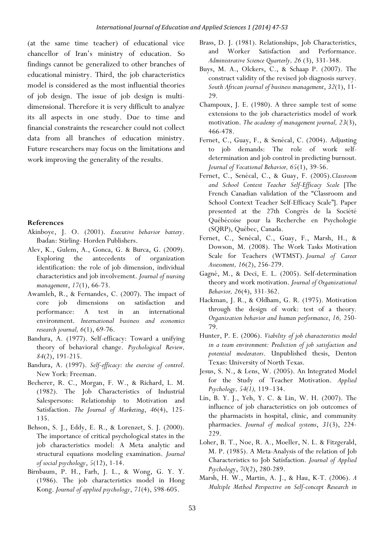(at the same time teacher) of educational vice chancellor of Iran's ministry of education. So findings cannot be generalized to other branches of educational ministry. Third, the job characteristics model is considered as the most influential theories of job design. The issue of job design is multidimensional. Therefore it is very difficult to analyze its all aspects in one study. Due to time and financial constraints the researcher could not collect data from all branches of education ministry. Future researchers may focus on the limitations and work improving the generality of the results.

#### **References**

- Akinboye, J. O. (2001). *Executive behavior battery*. Ibadan: Stirling- Horden Publishers.
- Alev, K., Gulem, A., Gonca, G. & Burca, G. (2009). Exploring the antecedents of organization identification: the role of job dimension, individual characteristics and job involvement. *Journal of nursing management*, *17*(1), 66-73.
- Awamleh, R., & Fernandes, C. (2007). The impact of core job dimensions on satisfaction and performance: A test in an international environment. *International business and economics research journal, 6*(1), 69-76.
- Bandura, A. (1977). Self-efficacy: Toward a unifying theory of behavioral change. *Psychological Review, 84*(2), 191-215.
- Bandura, A. (1997). *Self-efficacy: the exercise of control*. New York: Freeman.
- Becherer, R. C., Morgan, F. W., & Richard, L. M. (1982). The Job Characteristics of Industrial Salespersons: Relationship to Motivation and Satisfaction. *The Journal of Marketing*, *46*(4), 125- 135.
- Behson, S. J., Eddy, E. R., & Lorenzet, S. J. (2000). The importance of critical psychological states in the job characteristics model: A Meta analytic and structural equations modeling examination. *Journal of social psychology*, *5*(12), 1-14.
- Birnbaum, P. H., Farh, J. L., & Wong, G. Y. Y. (1986). The job characteristics model in Hong Kong. *Journal of applied psychology*, *71*(4), 598-605.
- Brass, D. J. (1981). Relationships, Job Characteristics, and Worker Satisfaction and Performance. *Administrative Science Quarterly, 26* (3), 331-348.
- Buys, M. A., Olckers, C., & Schaap P. (2007). The construct validity of the revised job diagnosis survey. *South African journal of business management*, *32*(1), 11- 29.
- Champoux, J. E. (1980). A three sample test of some extensions to the job characteristics model of work motivation. *The academy of management journal, 23*(3), 466-478.
- Fernet, C., Guay, F., & Senécal, C. (2004). Adjusting to job demands: The role of work selfdetermination and job control in predicting burnout. *Journal of Vocational Behavior, 65*(1), 39-56.
- Fernet, C., Senécal, C., & Guay, F. (2005).*Classroom and School Context Teacher Self-Efficacy Scale* [The French Canadian validation of the "Classroom and School Context Teacher Self-Efficacy Scale"]. Paper presented at the 27th Congrès de la Société Québécoise pour la Recherche en Psychologie (SQRP), Québec, Canada.
- Fernet, C., Senécal, C., Guay, F., Marsh, H., & Dowson, M. (2008). The Work Tasks Motivation Scale for Teachers (WTMST). *Journal of Career Assessment, 16*(2), 256-279.
- Gagné, M., & Deci, E. L. (2005). Self-determination theory and work motivation. *Journal of Organizational Behavior, 26*(4), 331-362.
- Hackman, J. R., & Oldham, G. R. (1975). Motivation through the design of work: test of a theory*. Organization behavior and human performance*, *16,* 250- 79.
- Hunter, P. E. (2006). *Viability of job characteristics model in a team environment: Prediction of job satisfaction and potential moderators*. Unpublished thesis, Denton Texas: University of North Texas.
- Jesus, S. N., & Lens, W. (2005). An Integrated Model for the Study of Teacher Motivation. *Applied Psychology, 54(1),* 119–134.
- Lin, B. Y. J., Yeh, Y. C. & Lin, W. H. (2007). The influence of job characteristics on job outcomes of the pharmacists in hospital, clinic, and community pharmacies. *Journal of medical systems*, *31*(3), 224- 229.
- Loher, B. T., Noe, R. A., Moeller, N. L. & Fitzgerald, M. P. (1985). A Meta-Analysis of the relation of Job Characteristics to Job Satisfaction. *Journal of Applied Psycholog*y, *70*(2), 280-289.
- Marsh, H. W., Martin, A. J., & Hau, K-T. (2006). *A Multiple Method Perspective on Self-concept Research in*